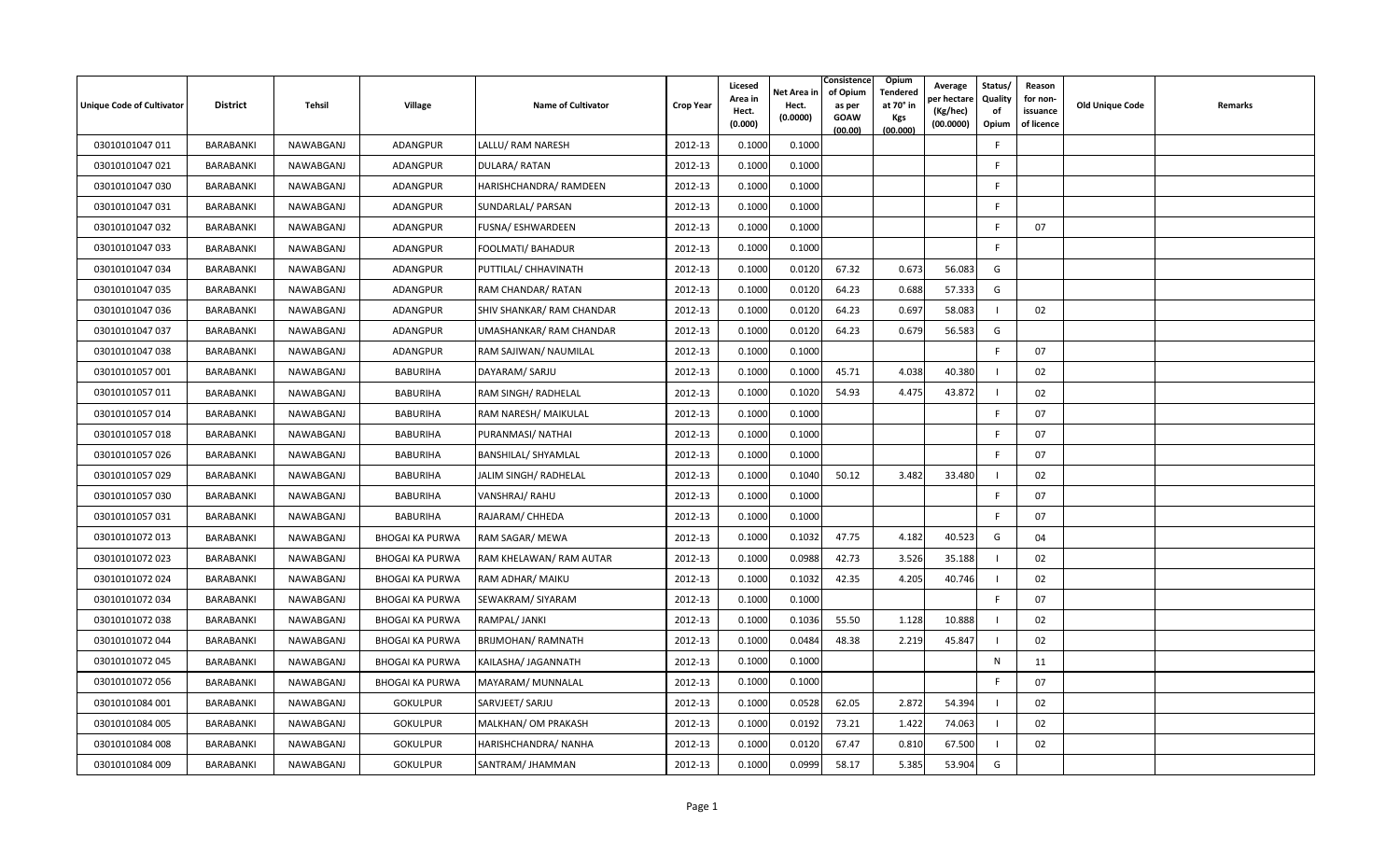| <b>Unique Code of Cultivator</b> | <b>District</b>  | <b>Tehsil</b> | Village                | <b>Name of Cultivator</b>  | <b>Crop Year</b> | Licesed<br>Area in<br>Hect.<br>(0.000) | Net Area in<br>Hect.<br>(0.0000) | Consistence<br>of Opium<br>as per<br><b>GOAW</b><br>(00.00) | <b>Opium</b><br>Tendered<br>at 70° in<br><b>Kgs</b><br>(00.000) | Average<br>er hectare)<br>(Kg/hec)<br>(00.0000) | Status/<br>Quality<br>of<br>Opium | Reason<br>for non-<br>issuance<br>of licence | <b>Old Unique Code</b> | Remarks |
|----------------------------------|------------------|---------------|------------------------|----------------------------|------------------|----------------------------------------|----------------------------------|-------------------------------------------------------------|-----------------------------------------------------------------|-------------------------------------------------|-----------------------------------|----------------------------------------------|------------------------|---------|
| 03010101047 011                  | <b>BARABANKI</b> | NAWABGANJ     | <b>ADANGPUR</b>        | LALLU/ RAM NARESH          | 2012-13          | 0.1000                                 | 0.1000                           |                                                             |                                                                 |                                                 | -F                                |                                              |                        |         |
| 03010101047 021                  | <b>BARABANKI</b> | NAWABGANJ     | ADANGPUR               | DULARA/RATAN               | 2012-13          | 0.1000                                 | 0.1000                           |                                                             |                                                                 |                                                 | F.                                |                                              |                        |         |
| 03010101047 030                  | <b>BARABANKI</b> | NAWABGANJ     | ADANGPUR               | HARISHCHANDRA/ RAMDEEN     | 2012-13          | 0.1000                                 | 0.1000                           |                                                             |                                                                 |                                                 | F.                                |                                              |                        |         |
| 03010101047 031                  | BARABANKI        | NAWABGANJ     | ADANGPUR               | SUNDARLAL/ PARSAN          | 2012-13          | 0.1000                                 | 0.1000                           |                                                             |                                                                 |                                                 | -F                                |                                              |                        |         |
| 03010101047 032                  | <b>BARABANKI</b> | NAWABGANJ     | ADANGPUR               | FUSNA/ ESHWARDEEN          | 2012-13          | 0.1000                                 | 0.1000                           |                                                             |                                                                 |                                                 | F                                 | 07                                           |                        |         |
| 03010101047 033                  | BARABANKI        | NAWABGANJ     | ADANGPUR               | FOOLMATI/ BAHADUR          | 2012-13          | 0.1000                                 | 0.1000                           |                                                             |                                                                 |                                                 | F                                 |                                              |                        |         |
| 03010101047 034                  | <b>BARABANKI</b> | NAWABGANJ     | <b>ADANGPUR</b>        | PUTTILAL/ CHHAVINATH       | 2012-13          | 0.1000                                 | 0.0120                           | 67.32                                                       | 0.673                                                           | 56.083                                          | G                                 |                                              |                        |         |
| 03010101047 035                  | BARABANKI        | NAWABGANJ     | ADANGPUR               | RAM CHANDAR/ RATAN         | 2012-13          | 0.1000                                 | 0.0120                           | 64.23                                                       | 0.688                                                           | 57.333                                          | G                                 |                                              |                        |         |
| 03010101047 036                  | BARABANKI        | NAWABGANJ     | ADANGPUR               | SHIV SHANKAR/ RAM CHANDAR  | 2012-13          | 0.1000                                 | 0.0120                           | 64.23                                                       | 0.697                                                           | 58.083                                          |                                   | 02                                           |                        |         |
| 03010101047 037                  | <b>BARABANKI</b> | NAWABGANJ     | ADANGPUR               | UMASHANKAR/ RAM CHANDAR    | 2012-13          | 0.1000                                 | 0.0120                           | 64.23                                                       | 0.679                                                           | 56.583                                          | G                                 |                                              |                        |         |
| 03010101047 038                  | <b>BARABANKI</b> | NAWABGANJ     | <b>ADANGPUR</b>        | RAM SAJIWAN/ NAUMILAL      | 2012-13          | 0.1000                                 | 0.1000                           |                                                             |                                                                 |                                                 | F                                 | 07                                           |                        |         |
| 03010101057 001                  | BARABANKI        | NAWABGANJ     | BABURIHA               | DAYARAM/ SARJU             | 2012-13          | 0.1000                                 | 0.1000                           | 45.71                                                       | 4.038                                                           | 40.380                                          |                                   | 02                                           |                        |         |
| 03010101057 011                  | BARABANKI        | NAWABGANJ     | <b>BABURIHA</b>        | RAM SINGH/ RADHELAL        | 2012-13          | 0.1000                                 | 0.1020                           | 54.93                                                       | 4.475                                                           | 43.872                                          |                                   | 02                                           |                        |         |
| 03010101057 014                  | BARABANKI        | NAWABGANJ     | <b>BABURIHA</b>        | RAM NARESH/ MAIKULAL       | 2012-13          | 0.1000                                 | 0.1000                           |                                                             |                                                                 |                                                 | -F                                | 07                                           |                        |         |
| 03010101057 018                  | BARABANKI        | NAWABGANJ     | <b>BABURIHA</b>        | PURANMASI/ NATHAI          | 2012-13          | 0.1000                                 | 0.1000                           |                                                             |                                                                 |                                                 | F                                 | 07                                           |                        |         |
| 03010101057 026                  | BARABANKI        | NAWABGANJ     | <b>BABURIHA</b>        | <b>BANSHILAL/ SHYAMLAL</b> | 2012-13          | 0.1000                                 | 0.1000                           |                                                             |                                                                 |                                                 | F.                                | 07                                           |                        |         |
| 03010101057 029                  | <b>BARABANKI</b> | NAWABGANJ     | <b>BABURIHA</b>        | JALIM SINGH/ RADHELAL      | 2012-13          | 0.1000                                 | 0.1040                           | 50.12                                                       | 3.482                                                           | 33.480                                          |                                   | 02                                           |                        |         |
| 03010101057 030                  | BARABANKI        | NAWABGANJ     | <b>BABURIHA</b>        | VANSHRAJ/RAHU              | 2012-13          | 0.1000                                 | 0.1000                           |                                                             |                                                                 |                                                 | F.                                | 07                                           |                        |         |
| 03010101057 031                  | BARABANKI        | NAWABGANJ     | BABURIHA               | RAJARAM/ CHHEDA            | 2012-13          | 0.1000                                 | 0.1000                           |                                                             |                                                                 |                                                 | F.                                | 07                                           |                        |         |
| 03010101072 013                  | <b>BARABANKI</b> | NAWABGANJ     | <b>BHOGAI KA PURWA</b> | RAM SAGAR/ MEWA            | 2012-13          | 0.1000                                 | 0.1032                           | 47.75                                                       | 4.182                                                           | 40.523                                          | G                                 | 04                                           |                        |         |
| 03010101072 023                  | <b>BARABANKI</b> | NAWABGANJ     | <b>BHOGAI KA PURWA</b> | RAM KHELAWAN/ RAM AUTAR    | 2012-13          | 0.1000                                 | 0.0988                           | 42.73                                                       | 3.526                                                           | 35.188                                          |                                   | 02                                           |                        |         |
| 03010101072 024                  | BARABANKI        | NAWABGANJ     | <b>BHOGAI KA PURWA</b> | RAM ADHAR/ MAIKU           | 2012-13          | 0.1000                                 | 0.1032                           | 42.35                                                       | 4.205                                                           | 40.746                                          |                                   | 02                                           |                        |         |
| 03010101072 034                  | BARABANKI        | NAWABGANJ     | <b>BHOGAI KA PURWA</b> | SEWAKRAM/ SIYARAM          | 2012-13          | 0.1000                                 | 0.1000                           |                                                             |                                                                 |                                                 | F.                                | 07                                           |                        |         |
| 03010101072 038                  | BARABANKI        | NAWABGANJ     | <b>BHOGAI KA PURWA</b> | RAMPAL/ JANKI              | 2012-13          | 0.1000                                 | 0.1036                           | 55.50                                                       | 1.128                                                           | 10.888                                          |                                   | 02                                           |                        |         |
| 03010101072 044                  | <b>BARABANKI</b> | NAWABGANJ     | <b>BHOGAI KA PURWA</b> | <b>BRIJMOHAN/ RAMNATH</b>  | 2012-13          | 0.1000                                 | 0.0484                           | 48.38                                                       | 2.219                                                           | 45.847                                          |                                   | 02                                           |                        |         |
| 03010101072 045                  | BARABANKI        | NAWABGANJ     | <b>BHOGAI KA PURWA</b> | KAILASHA/ JAGANNATH        | 2012-13          | 0.1000                                 | 0.1000                           |                                                             |                                                                 |                                                 | N                                 | 11                                           |                        |         |
| 03010101072 056                  | <b>BARABANKI</b> | NAWABGANJ     | <b>BHOGAI KA PURWA</b> | MAYARAM/ MUNNALAL          | 2012-13          | 0.1000                                 | 0.1000                           |                                                             |                                                                 |                                                 | F.                                | 07                                           |                        |         |
| 03010101084 001                  | BARABANKI        | NAWABGANJ     | <b>GOKULPUR</b>        | SARVJEET/ SARJU            | 2012-13          | 0.1000                                 | 0.0528                           | 62.05                                                       | 2.872                                                           | 54.394                                          |                                   | 02                                           |                        |         |
| 03010101084 005                  | BARABANKI        | NAWABGANJ     | <b>GOKULPUR</b>        | MALKHAN/ OM PRAKASH        | 2012-13          | 0.1000                                 | 0.0192                           | 73.21                                                       | 1.422                                                           | 74.063                                          |                                   | 02                                           |                        |         |
| 03010101084 008                  | BARABANKI        | NAWABGANJ     | <b>GOKULPUR</b>        | HARISHCHANDRA/ NANHA       | 2012-13          | 0.1000                                 | 0.0120                           | 67.47                                                       | 0.810                                                           | 67.500                                          |                                   | 02                                           |                        |         |
| 03010101084 009                  | BARABANKI        | NAWABGANJ     | <b>GOKULPUR</b>        | SANTRAM/ JHAMMAN           | 2012-13          | 0.1000                                 | 0.0999                           | 58.17                                                       | 5.385                                                           | 53.904                                          | G                                 |                                              |                        |         |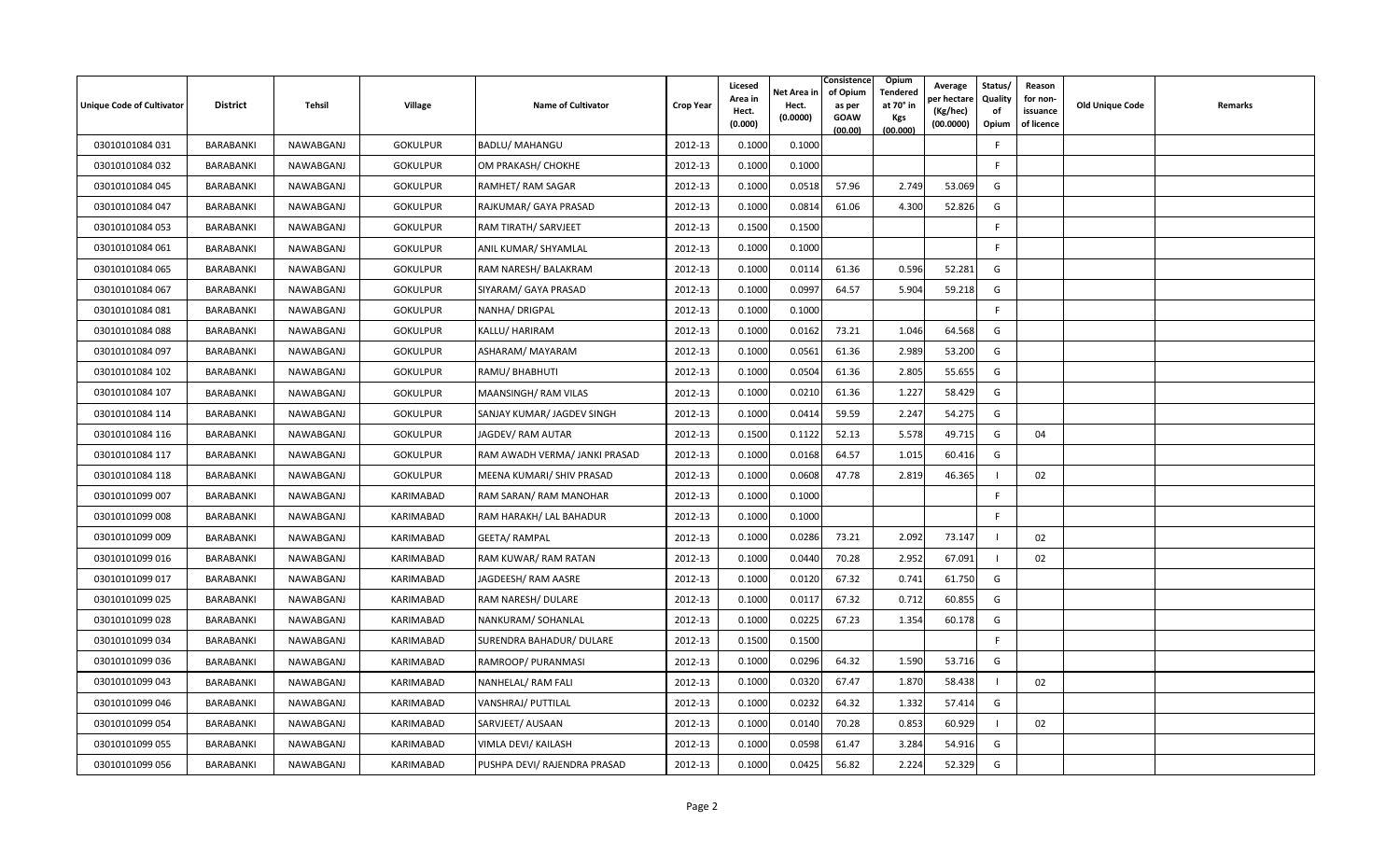| <b>Unique Code of Cultivator</b> | <b>District</b>  | Tehsil    | <b>Village</b>  | <b>Name of Cultivator</b>     | <b>Crop Year</b> | Licesed<br>Area in<br>Hect.<br>(0.000) | Net Area in<br>Hect.<br>(0.0000) | Consistence<br>of Opium<br>as per<br><b>GOAW</b><br>(00.00) | <b>Opium</b><br>Tendered<br>at 70 $^{\circ}$ in<br><b>Kgs</b><br>(00.000) | Average<br>er hectar<br>(Kg/hec)<br>(00.0000) | Status/<br>Quality<br>of<br>Opium | Reason<br>for non-<br>issuance<br>of licence | <b>Old Unique Code</b> | Remarks |
|----------------------------------|------------------|-----------|-----------------|-------------------------------|------------------|----------------------------------------|----------------------------------|-------------------------------------------------------------|---------------------------------------------------------------------------|-----------------------------------------------|-----------------------------------|----------------------------------------------|------------------------|---------|
| 03010101084 031                  | BARABANKI        | NAWABGANJ | <b>GOKULPUR</b> | <b>BADLU/ MAHANGU</b>         | 2012-13          | 0.1000                                 | 0.1000                           |                                                             |                                                                           |                                               | F.                                |                                              |                        |         |
| 03010101084 032                  | BARABANKI        | NAWABGANJ | <b>GOKULPUR</b> | OM PRAKASH/ CHOKHE            | 2012-13          | 0.1000                                 | 0.1000                           |                                                             |                                                                           |                                               | F.                                |                                              |                        |         |
| 03010101084 045                  | BARABANKI        | NAWABGANJ | <b>GOKULPUR</b> | RAMHET/RAM SAGAR              | 2012-13          | 0.1000                                 | 0.0518                           | 57.96                                                       | 2.749                                                                     | 53.069                                        | G                                 |                                              |                        |         |
| 03010101084 047                  | BARABANKI        | NAWABGANJ | <b>GOKULPUR</b> | RAJKUMAR/ GAYA PRASAD         | 2012-13          | 0.1000                                 | 0.0814                           | 61.06                                                       | 4.300                                                                     | 52.826                                        | G                                 |                                              |                        |         |
| 03010101084 053                  | <b>BARABANKI</b> | NAWABGANJ | <b>GOKULPUR</b> | RAM TIRATH/ SARVJEET          | 2012-13          | 0.1500                                 | 0.1500                           |                                                             |                                                                           |                                               | F                                 |                                              |                        |         |
| 03010101084 061                  | BARABANKI        | NAWABGANJ | <b>GOKULPUR</b> | ANIL KUMAR/ SHYAMLAL          | 2012-13          | 0.1000                                 | 0.1000                           |                                                             |                                                                           |                                               | F.                                |                                              |                        |         |
| 03010101084 065                  | <b>BARABANKI</b> | NAWABGANJ | <b>GOKULPUR</b> | RAM NARESH/ BALAKRAM          | 2012-13          | 0.1000                                 | 0.0114                           | 61.36                                                       | 0.596                                                                     | 52.281                                        | G                                 |                                              |                        |         |
| 03010101084 067                  | BARABANKI        | NAWABGANJ | <b>GOKULPUR</b> | SIYARAM/ GAYA PRASAD          | 2012-13          | 0.1000                                 | 0.0997                           | 64.57                                                       | 5.904                                                                     | 59.218                                        | G                                 |                                              |                        |         |
| 03010101084 081                  | BARABANKI        | NAWABGANJ | <b>GOKULPUR</b> | NANHA/ DRIGPAL                | 2012-13          | 0.1000                                 | 0.1000                           |                                                             |                                                                           |                                               | F                                 |                                              |                        |         |
| 03010101084 088                  | BARABANKI        | NAWABGANJ | <b>GOKULPUR</b> | KALLU/ HARIRAM                | 2012-13          | 0.1000                                 | 0.0162                           | 73.21                                                       | 1.046                                                                     | 64.568                                        | G                                 |                                              |                        |         |
| 03010101084 097                  | BARABANKI        | NAWABGANJ | <b>GOKULPUR</b> | ASHARAM/ MAYARAM              | 2012-13          | 0.1000                                 | 0.0561                           | 61.36                                                       | 2.989                                                                     | 53.200                                        | G                                 |                                              |                        |         |
| 03010101084 102                  | BARABANKI        | NAWABGANJ | <b>GOKULPUR</b> | RAMU/ BHABHUTI                | 2012-13          | 0.1000                                 | 0.0504                           | 61.36                                                       | 2.805                                                                     | 55.655                                        | G                                 |                                              |                        |         |
| 03010101084 107                  | BARABANKI        | NAWABGANJ | <b>GOKULPUR</b> | MAANSINGH/RAM VILAS           | 2012-13          | 0.1000                                 | 0.0210                           | 61.36                                                       | 1.227                                                                     | 58.429                                        | G                                 |                                              |                        |         |
| 03010101084 114                  | BARABANKI        | NAWABGANJ | <b>GOKULPUR</b> | SANJAY KUMAR/ JAGDEV SINGH    | 2012-13          | 0.1000                                 | 0.0414                           | 59.59                                                       | 2.247                                                                     | 54.275                                        | G                                 |                                              |                        |         |
| 03010101084 116                  | BARABANKI        | NAWABGANJ | <b>GOKULPUR</b> | JAGDEV/ RAM AUTAR             | 2012-13          | 0.1500                                 | 0.1122                           | 52.13                                                       | 5.578                                                                     | 49.715                                        | G                                 | 04                                           |                        |         |
| 03010101084 117                  | BARABANKI        | NAWABGANJ | <b>GOKULPUR</b> | RAM AWADH VERMA/ JANKI PRASAD | 2012-13          | 0.1000                                 | 0.0168                           | 64.57                                                       | 1.015                                                                     | 60.416                                        | G                                 |                                              |                        |         |
| 03010101084 118                  | <b>BARABANKI</b> | NAWABGANJ | <b>GOKULPUR</b> | MEENA KUMARI/ SHIV PRASAD     | 2012-13          | 0.1000                                 | 0.0608                           | 47.78                                                       | 2.819                                                                     | 46.365                                        |                                   | 02                                           |                        |         |
| 03010101099 007                  | BARABANKI        | NAWABGANJ | KARIMABAD       | RAM SARAN/ RAM MANOHAR        | 2012-13          | 0.1000                                 | 0.1000                           |                                                             |                                                                           |                                               | F                                 |                                              |                        |         |
| 03010101099 008                  | BARABANKI        | NAWABGANJ | KARIMABAD       | RAM HARAKH/ LAL BAHADUR       | 2012-13          | 0.1000                                 | 0.1000                           |                                                             |                                                                           |                                               | $\mathsf{F}$                      |                                              |                        |         |
| 03010101099 009                  | BARABANKI        | NAWABGANJ | KARIMABAD       | <b>GEETA/ RAMPAL</b>          | 2012-13          | 0.1000                                 | 0.0286                           | 73.21                                                       | 2.092                                                                     | 73.147                                        |                                   | 02                                           |                        |         |
| 03010101099 016                  | BARABANKI        | NAWABGANJ | KARIMABAD       | RAM KUWAR/ RAM RATAN          | 2012-13          | 0.1000                                 | 0.0440                           | 70.28                                                       | 2.952                                                                     | 67.091                                        | -1                                | 02                                           |                        |         |
| 03010101099 017                  | BARABANKI        | NAWABGANJ | KARIMABAD       | JAGDEESH/ RAM AASRE           | 2012-13          | 0.1000                                 | 0.0120                           | 67.32                                                       | 0.741                                                                     | 61.750                                        | G                                 |                                              |                        |         |
| 03010101099 025                  | BARABANKI        | NAWABGANJ | KARIMABAD       | RAM NARESH/ DULARE            | 2012-13          | 0.1000                                 | 0.0117                           | 67.32                                                       | 0.712                                                                     | 60.855                                        | G                                 |                                              |                        |         |
| 03010101099 028                  | BARABANKI        | NAWABGANJ | KARIMABAD       | NANKURAM/SOHANLAL             | 2012-13          | 0.1000                                 | 0.0225                           | 67.23                                                       | 1.354                                                                     | 60.178                                        | G                                 |                                              |                        |         |
| 03010101099 034                  | BARABANKI        | NAWABGANJ | KARIMABAD       | SURENDRA BAHADUR/ DULARE      | 2012-13          | 0.1500                                 | 0.1500                           |                                                             |                                                                           |                                               | F                                 |                                              |                        |         |
| 03010101099 036                  | BARABANKI        | NAWABGANJ | KARIMABAD       | RAMROOP/ PURANMASI            | 2012-13          | 0.1000                                 | 0.0296                           | 64.32                                                       | 1.590                                                                     | 53.716                                        | G                                 |                                              |                        |         |
| 03010101099 043                  | <b>BARABANKI</b> | NAWABGANJ | KARIMABAD       | NANHELAL/ RAM FALI            | 2012-13          | 0.1000                                 | 0.0320                           | 67.47                                                       | 1.870                                                                     | 58.438                                        |                                   | 02                                           |                        |         |
| 03010101099 046                  | BARABANKI        | NAWABGANJ | KARIMABAD       | VANSHRAJ/ PUTTILAL            | 2012-13          | 0.1000                                 | 0.0232                           | 64.32                                                       | 1.332                                                                     | 57.414                                        | G                                 |                                              |                        |         |
| 03010101099 054                  | BARABANKI        | NAWABGANJ | KARIMABAD       | SARVJEET/ AUSAAN              | 2012-13          | 0.1000                                 | 0.0140                           | 70.28                                                       | 0.853                                                                     | 60.929                                        |                                   | 02                                           |                        |         |
| 03010101099 055                  | BARABANKI        | NAWABGANJ | KARIMABAD       | VIMLA DEVI/ KAILASH           | 2012-13          | 0.1000                                 | 0.0598                           | 61.47                                                       | 3.284                                                                     | 54.916                                        | G                                 |                                              |                        |         |
| 03010101099 056                  | BARABANKI        | NAWABGANJ | KARIMABAD       | PUSHPA DEVI/ RAJENDRA PRASAD  | 2012-13          | 0.1000                                 | 0.0425                           | 56.82                                                       | 2.224                                                                     | 52.329                                        | G                                 |                                              |                        |         |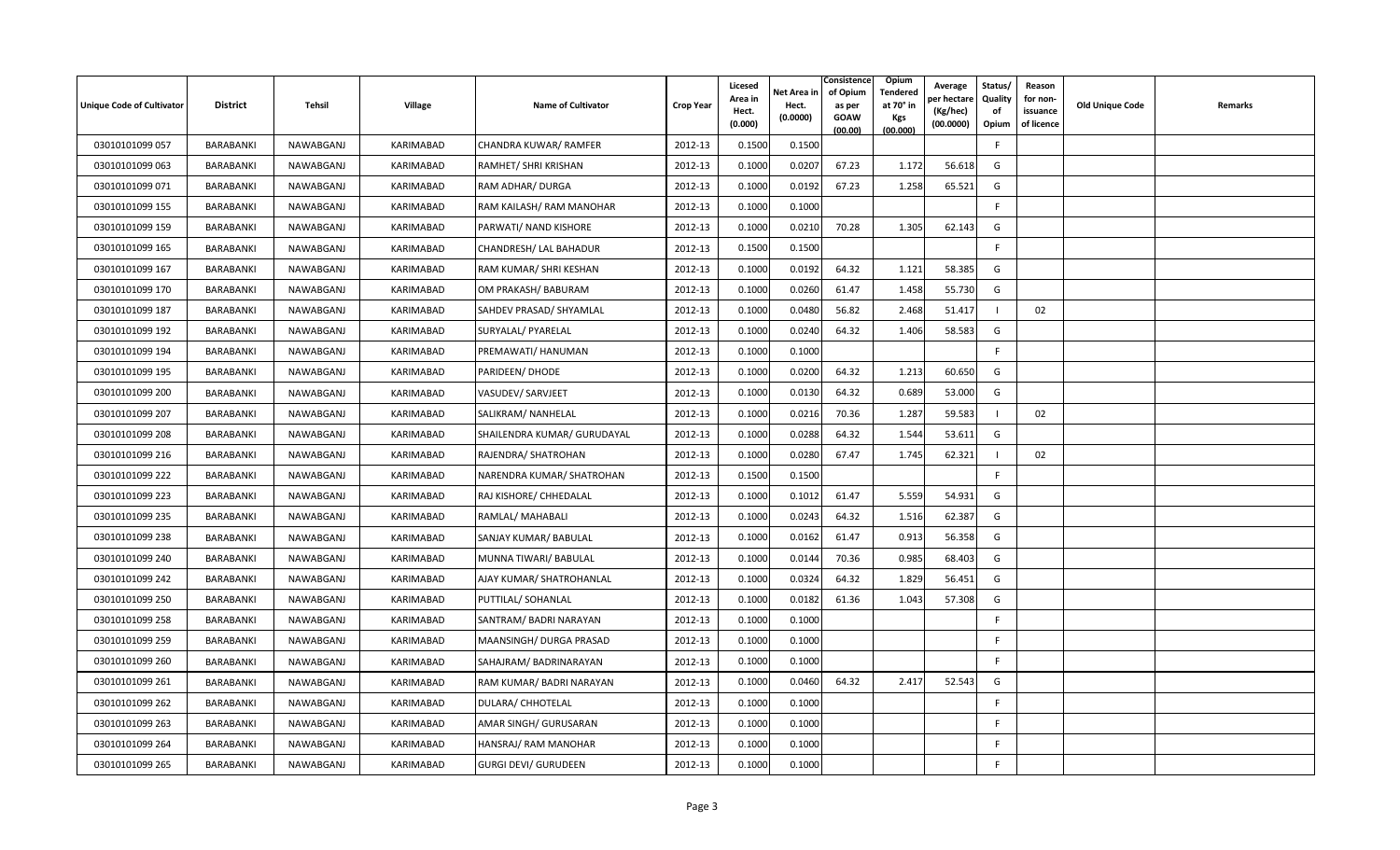| <b>Unique Code of Cultivator</b> | <b>District</b>  | Tehsil    | <b>Village</b>   | <b>Name of Cultivator</b>   | <b>Crop Year</b> | Licesed<br>Area in<br>Hect.<br>(0.000) | Net Area in<br>Hect.<br>(0.0000) | Consistence<br>of Opium<br>as per<br><b>GOAW</b><br>(00.00) | <b>Opium</b><br>Tendered<br>at 70° in<br><b>Kgs</b><br>(00.000) | Average<br>er hectar<br>(Kg/hec)<br>(00.0000) | Status/<br>Quality<br>of<br>Opium | Reason<br>for non-<br>issuance<br>of licence | <b>Old Unique Code</b> | Remarks |
|----------------------------------|------------------|-----------|------------------|-----------------------------|------------------|----------------------------------------|----------------------------------|-------------------------------------------------------------|-----------------------------------------------------------------|-----------------------------------------------|-----------------------------------|----------------------------------------------|------------------------|---------|
| 03010101099 057                  | BARABANKI        | NAWABGANJ | KARIMABAD        | CHANDRA KUWAR/RAMFER        | 2012-13          | 0.1500                                 | 0.1500                           |                                                             |                                                                 |                                               | F.                                |                                              |                        |         |
| 03010101099 063                  | BARABANKI        | NAWABGANJ | KARIMABAD        | RAMHET/ SHRI KRISHAN        | 2012-13          | 0.1000                                 | 0.0207                           | 67.23                                                       | 1.172                                                           | 56.618                                        | G                                 |                                              |                        |         |
| 03010101099 071                  | BARABANKI        | NAWABGANJ | KARIMABAD        | RAM ADHAR/ DURGA            | 2012-13          | 0.1000                                 | 0.0192                           | 67.23                                                       | 1.258                                                           | 65.521                                        | G                                 |                                              |                        |         |
| 03010101099 155                  | BARABANKI        | NAWABGANJ | KARIMABAD        | RAM KAILASH/ RAM MANOHAR    | 2012-13          | 0.1000                                 | 0.1000                           |                                                             |                                                                 |                                               | F                                 |                                              |                        |         |
| 03010101099 159                  | <b>BARABANKI</b> | NAWABGANJ | KARIMABAD        | PARWATI/ NAND KISHORE       | 2012-13          | 0.1000                                 | 0.0210                           | 70.28                                                       | 1.305                                                           | 62.143                                        | G                                 |                                              |                        |         |
| 03010101099 165                  | BARABANKI        | NAWABGANJ | <b>KARIMABAD</b> | CHANDRESH/ LAL BAHADUR      | 2012-13          | 0.1500                                 | 0.1500                           |                                                             |                                                                 |                                               | F                                 |                                              |                        |         |
| 03010101099 167                  | <b>BARABANKI</b> | NAWABGANJ | KARIMABAD        | RAM KUMAR/ SHRI KESHAN      | 2012-13          | 0.1000                                 | 0.0192                           | 64.32                                                       | 1.121                                                           | 58.385                                        | G                                 |                                              |                        |         |
| 03010101099 170                  | BARABANKI        | NAWABGANJ | KARIMABAD        | OM PRAKASH/ BABURAM         | 2012-13          | 0.1000                                 | 0.0260                           | 61.47                                                       | 1.458                                                           | 55.730                                        | G                                 |                                              |                        |         |
| 03010101099 187                  | BARABANKI        | NAWABGANJ | KARIMABAD        | SAHDEV PRASAD/ SHYAMLAL     | 2012-13          | 0.1000                                 | 0.0480                           | 56.82                                                       | 2.468                                                           | 51.417                                        |                                   | 02                                           |                        |         |
| 03010101099 192                  | BARABANKI        | NAWABGANJ | KARIMABAD        | SURYALAL/ PYARELAL          | 2012-13          | 0.1000                                 | 0.0240                           | 64.32                                                       | 1.406                                                           | 58.583                                        | G                                 |                                              |                        |         |
| 03010101099 194                  | BARABANKI        | NAWABGANJ | KARIMABAD        | PREMAWATI/ HANUMAN          | 2012-13          | 0.1000                                 | 0.1000                           |                                                             |                                                                 |                                               | F                                 |                                              |                        |         |
| 03010101099 195                  | BARABANKI        | NAWABGANJ | KARIMABAD        | PARIDEEN/ DHODE             | 2012-13          | 0.1000                                 | 0.0200                           | 64.32                                                       | 1.213                                                           | 60.650                                        | G                                 |                                              |                        |         |
| 03010101099 200                  | BARABANKI        | NAWABGANJ | KARIMABAD        | VASUDEV/ SARVJEET           | 2012-13          | 0.1000                                 | 0.0130                           | 64.32                                                       | 0.689                                                           | 53.000                                        | G                                 |                                              |                        |         |
| 03010101099 207                  | BARABANKI        | NAWABGANJ | KARIMABAD        | SALIKRAM/ NANHELAL          | 2012-13          | 0.1000                                 | 0.0216                           | 70.36                                                       | 1.287                                                           | 59.583                                        |                                   | 02                                           |                        |         |
| 03010101099 208                  | BARABANKI        | NAWABGANJ | KARIMABAD        | SHAILENDRA KUMAR/ GURUDAYAL | 2012-13          | 0.1000                                 | 0.0288                           | 64.32                                                       | 1.544                                                           | 53.611                                        | G                                 |                                              |                        |         |
| 03010101099 216                  | BARABANKI        | NAWABGANJ | KARIMABAD        | RAJENDRA/ SHATROHAN         | 2012-13          | 0.1000                                 | 0.0280                           | 67.47                                                       | 1.745                                                           | 62.321                                        |                                   | 02                                           |                        |         |
| 03010101099 222                  | <b>BARABANKI</b> | NAWABGANJ | KARIMABAD        | NARENDRA KUMAR/ SHATROHAN   | 2012-13          | 0.1500                                 | 0.1500                           |                                                             |                                                                 |                                               | F                                 |                                              |                        |         |
| 03010101099 223                  | BARABANKI        | NAWABGANJ | KARIMABAD        | RAJ KISHORE/ CHHEDALAL      | 2012-13          | 0.1000                                 | 0.1012                           | 61.47                                                       | 5.559                                                           | 54.931                                        | G                                 |                                              |                        |         |
| 03010101099 235                  | BARABANKI        | NAWABGANJ | KARIMABAD        | RAMLAL/ MAHABALI            | 2012-13          | 0.1000                                 | 0.0243                           | 64.32                                                       | 1.516                                                           | 62.387                                        | G                                 |                                              |                        |         |
| 03010101099 238                  | BARABANKI        | NAWABGANJ | KARIMABAD        | SANJAY KUMAR/ BABULAL       | 2012-13          | 0.1000                                 | 0.0162                           | 61.47                                                       | 0.913                                                           | 56.358                                        | G                                 |                                              |                        |         |
| 03010101099 240                  | BARABANKI        | NAWABGANJ | KARIMABAD        | MUNNA TIWARI/ BABULAL       | 2012-13          | 0.1000                                 | 0.0144                           | 70.36                                                       | 0.985                                                           | 68.403                                        | G                                 |                                              |                        |         |
| 03010101099 242                  | BARABANKI        | NAWABGANJ | KARIMABAD        | AJAY KUMAR/ SHATROHANLAL    | 2012-13          | 0.1000                                 | 0.0324                           | 64.32                                                       | 1.829                                                           | 56.451                                        | G                                 |                                              |                        |         |
| 03010101099 250                  | BARABANKI        | NAWABGANJ | KARIMABAD        | PUTTILAL/ SOHANLAL          | 2012-13          | 0.1000                                 | 0.0182                           | 61.36                                                       | 1.043                                                           | 57.308                                        | G                                 |                                              |                        |         |
| 03010101099 258                  | BARABANKI        | NAWABGANJ | KARIMABAD        | SANTRAM/BADRI NARAYAN       | 2012-13          | 0.1000                                 | 0.1000                           |                                                             |                                                                 |                                               | F.                                |                                              |                        |         |
| 03010101099 259                  | BARABANKI        | NAWABGANJ | KARIMABAD        | MAANSINGH/ DURGA PRASAD     | 2012-13          | 0.1000                                 | 0.1000                           |                                                             |                                                                 |                                               | F                                 |                                              |                        |         |
| 03010101099 260                  | BARABANKI        | NAWABGANJ | KARIMABAD        | SAHAJRAM/ BADRINARAYAN      | 2012-13          | 0.1000                                 | 0.1000                           |                                                             |                                                                 |                                               | F                                 |                                              |                        |         |
| 03010101099 261                  | <b>BARABANKI</b> | NAWABGANJ | KARIMABAD        | RAM KUMAR/ BADRI NARAYAN    | 2012-13          | 0.1000                                 | 0.0460                           | 64.32                                                       | 2.417                                                           | 52.543                                        | G                                 |                                              |                        |         |
| 03010101099 262                  | BARABANKI        | NAWABGANJ | KARIMABAD        | DULARA/ CHHOTELAL           | 2012-13          | 0.1000                                 | 0.1000                           |                                                             |                                                                 |                                               | F                                 |                                              |                        |         |
| 03010101099 263                  | BARABANKI        | NAWABGANJ | KARIMABAD        | AMAR SINGH/ GURUSARAN       | 2012-13          | 0.1000                                 | 0.1000                           |                                                             |                                                                 |                                               | F                                 |                                              |                        |         |
| 03010101099 264                  | BARABANKI        | NAWABGANJ | KARIMABAD        | HANSRAJ/ RAM MANOHAR        | 2012-13          | 0.1000                                 | 0.1000                           |                                                             |                                                                 |                                               | F                                 |                                              |                        |         |
| 03010101099 265                  | BARABANKI        | NAWABGANJ | KARIMABAD        | <b>GURGI DEVI/ GURUDEEN</b> | 2012-13          | 0.1000                                 | 0.1000                           |                                                             |                                                                 |                                               | -F                                |                                              |                        |         |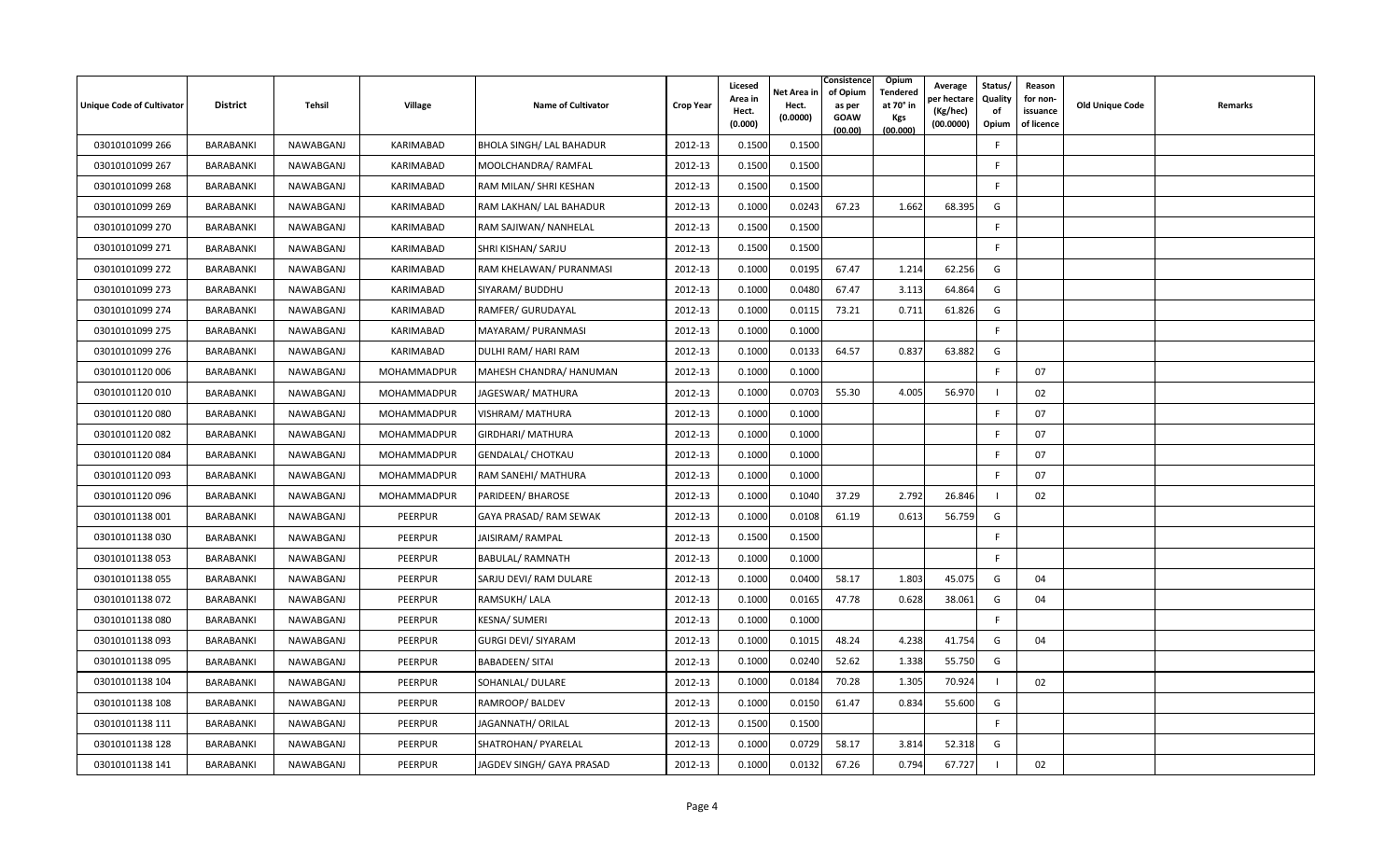| Unique Code of Cultivator | <b>District</b>  | Tehsil    | <b>Village</b> | <b>Name of Cultivator</b>       | <b>Crop Year</b> | Licesed<br>Area in<br>Hect.<br>(0.000) | Net Area in<br>Hect.<br>(0.0000) | Consistence<br>of Opium<br>as per<br><b>GOAW</b><br>(00.00) | Opium<br>Tendered<br>at 70° in<br>Kgs<br>(00.000) | Average<br>oer hectare<br>(Kg/hec)<br>(00.0000) | Status/<br>Quality<br>of<br>Opium | Reason<br>for non-<br>issuance<br>of licence | Old Unique Code | Remarks |
|---------------------------|------------------|-----------|----------------|---------------------------------|------------------|----------------------------------------|----------------------------------|-------------------------------------------------------------|---------------------------------------------------|-------------------------------------------------|-----------------------------------|----------------------------------------------|-----------------|---------|
| 03010101099 266           | <b>BARABANKI</b> | NAWABGANJ | KARIMABAD      | <b>BHOLA SINGH/ LAL BAHADUR</b> | 2012-13          | 0.1500                                 | 0.1500                           |                                                             |                                                   |                                                 | F                                 |                                              |                 |         |
| 03010101099 267           | BARABANKI        | NAWABGANJ | KARIMABAD      | MOOLCHANDRA/RAMFAL              | 2012-13          | 0.1500                                 | 0.1500                           |                                                             |                                                   |                                                 | F                                 |                                              |                 |         |
| 03010101099 268           | BARABANKI        | NAWABGANJ | KARIMABAD      | RAM MILAN/ SHRI KESHAN          | 2012-13          | 0.1500                                 | 0.1500                           |                                                             |                                                   |                                                 | F.                                |                                              |                 |         |
| 03010101099 269           | BARABANKI        | NAWABGANJ | KARIMABAD      | RAM LAKHAN/ LAL BAHADUR         | 2012-13          | 0.1000                                 | 0.0243                           | 67.23                                                       | 1.662                                             | 68.395                                          | G                                 |                                              |                 |         |
| 03010101099 270           | BARABANKI        | NAWABGANJ | KARIMABAD      | RAM SAJIWAN/ NANHELAL           | 2012-13          | 0.1500                                 | 0.1500                           |                                                             |                                                   |                                                 | F                                 |                                              |                 |         |
| 03010101099 271           | BARABANKI        | NAWABGANJ | KARIMABAD      | SHRI KISHAN/ SARJU              | 2012-13          | 0.1500                                 | 0.1500                           |                                                             |                                                   |                                                 | F                                 |                                              |                 |         |
| 03010101099 272           | BARABANKI        | NAWABGANJ | KARIMABAD      | RAM KHELAWAN/ PURANMASI         | 2012-13          | 0.1000                                 | 0.0195                           | 67.47                                                       | 1.214                                             | 62.256                                          | G                                 |                                              |                 |         |
| 03010101099 273           | BARABANKI        | NAWABGANJ | KARIMABAD      | SIYARAM/ BUDDHU                 | 2012-13          | 0.1000                                 | 0.0480                           | 67.47                                                       | 3.113                                             | 64.864                                          | G                                 |                                              |                 |         |
| 03010101099 274           | BARABANKI        | NAWABGANJ | KARIMABAD      | RAMFER/ GURUDAYAL               | 2012-13          | 0.1000                                 | 0.0115                           | 73.21                                                       | 0.711                                             | 61.826                                          | G                                 |                                              |                 |         |
| 03010101099 275           | <b>BARABANKI</b> | NAWABGANJ | KARIMABAD      | MAYARAM/ PURANMASI              | 2012-13          | 0.1000                                 | 0.1000                           |                                                             |                                                   |                                                 | F.                                |                                              |                 |         |
| 03010101099 276           | BARABANKI        | NAWABGANJ | KARIMABAD      | DULHI RAM/ HARI RAM             | 2012-13          | 0.1000                                 | 0.0133                           | 64.57                                                       | 0.837                                             | 63.882                                          | G                                 |                                              |                 |         |
| 03010101120 006           | BARABANKI        | NAWABGANJ | MOHAMMADPUR    | MAHESH CHANDRA/ HANUMAN         | 2012-13          | 0.1000                                 | 0.1000                           |                                                             |                                                   |                                                 | $\mathsf{F}$                      | 07                                           |                 |         |
| 03010101120010            | BARABANKI        | NAWABGANJ | MOHAMMADPUR    | JAGESWAR/ MATHURA               | 2012-13          | 0.1000                                 | 0.0703                           | 55.30                                                       | 4.005                                             | 56.970                                          |                                   | 02                                           |                 |         |
| 03010101120080            | BARABANKI        | NAWABGANJ | MOHAMMADPUR    | <b>VISHRAM/ MATHURA</b>         | 2012-13          | 0.1000                                 | 0.1000                           |                                                             |                                                   |                                                 | F                                 | 07                                           |                 |         |
| 03010101120082            | BARABANKI        | NAWABGANJ | MOHAMMADPUR    | GIRDHARI/ MATHURA               | 2012-13          | 0.1000                                 | 0.1000                           |                                                             |                                                   |                                                 | -F                                | 07                                           |                 |         |
| 03010101120084            | BARABANKI        | NAWABGANJ | MOHAMMADPUR    | <b>GENDALAL/ CHOTKAU</b>        | 2012-13          | 0.1000                                 | 0.1000                           |                                                             |                                                   |                                                 | F                                 | 07                                           |                 |         |
| 03010101120093            | BARABANKI        | NAWABGANJ | MOHAMMADPUR    | RAM SANEHI/ MATHURA             | 2012-13          | 0.1000                                 | 0.1000                           |                                                             |                                                   |                                                 | $\mathsf{F}$                      | 07                                           |                 |         |
| 03010101120096            | BARABANKI        | NAWABGANJ | MOHAMMADPUR    | PARIDEEN/ BHAROSE               | 2012-13          | 0.1000                                 | 0.1040                           | 37.29                                                       | 2.792                                             | 26.846                                          |                                   | 02                                           |                 |         |
| 03010101138 001           | BARABANKI        | NAWABGANJ | PEERPUR        | GAYA PRASAD/ RAM SEWAK          | 2012-13          | 0.1000                                 | 0.0108                           | 61.19                                                       | 0.613                                             | 56.759                                          | G                                 |                                              |                 |         |
| 03010101138 030           | BARABANKI        | NAWABGANJ | PEERPUR        | JAISIRAM/ RAMPAL                | 2012-13          | 0.1500                                 | 0.1500                           |                                                             |                                                   |                                                 | F.                                |                                              |                 |         |
| 03010101138053            | BARABANKI        | NAWABGANJ | PEERPUR        | <b>BABULAL/ RAMNATH</b>         | 2012-13          | 0.1000                                 | 0.1000                           |                                                             |                                                   |                                                 | F                                 |                                              |                 |         |
| 03010101138 055           | BARABANKI        | NAWABGANJ | PEERPUR        | SARJU DEVI/ RAM DULARE          | 2012-13          | 0.1000                                 | 0.0400                           | 58.17                                                       | 1.803                                             | 45.075                                          | G                                 | 04                                           |                 |         |
| 03010101138 072           | BARABANKI        | NAWABGANJ | <b>PEERPUR</b> | RAMSUKH/LALA                    | 2012-13          | 0.1000                                 | 0.0165                           | 47.78                                                       | 0.628                                             | 38.061                                          | G                                 | 04                                           |                 |         |
| 03010101138080            | BARABANKI        | NAWABGANJ | PEERPUR        | KESNA/ SUMERI                   | 2012-13          | 0.1000                                 | 0.1000                           |                                                             |                                                   |                                                 | F                                 |                                              |                 |         |
| 03010101138093            | BARABANKI        | NAWABGANJ | PEERPUR        | <b>GURGI DEVI/ SIYARAM</b>      | 2012-13          | 0.1000                                 | 0.1015                           | 48.24                                                       | 4.238                                             | 41.754                                          | G                                 | 04                                           |                 |         |
| 03010101138 095           | BARABANKI        | NAWABGANJ | PEERPUR        | <b>BABADEEN/ SITAI</b>          | 2012-13          | 0.1000                                 | 0.0240                           | 52.62                                                       | 1.338                                             | 55.750                                          | G                                 |                                              |                 |         |
| 03010101138 104           | BARABANKI        | NAWABGANJ | PEERPUR        | SOHANLAL/ DULARE                | 2012-13          | 0.1000                                 | 0.0184                           | 70.28                                                       | 1.305                                             | 70.924                                          |                                   | 02                                           |                 |         |
| 03010101138 108           | BARABANKI        | NAWABGANJ | <b>PEERPUR</b> | RAMROOP/BALDEV                  | 2012-13          | 0.1000                                 | 0.0150                           | 61.47                                                       | 0.834                                             | 55.600                                          | G                                 |                                              |                 |         |
| 03010101138 111           | BARABANKI        | NAWABGANJ | <b>PEERPUR</b> | JAGANNATH/ ORILAL               | 2012-13          | 0.1500                                 | 0.1500                           |                                                             |                                                   |                                                 | F                                 |                                              |                 |         |
| 03010101138 128           | BARABANKI        | NAWABGANJ | PEERPUR        | SHATROHAN/ PYARELAL             | 2012-13          | 0.1000                                 | 0.0729                           | 58.17                                                       | 3.814                                             | 52.318                                          | G                                 |                                              |                 |         |
| 03010101138 141           | BARABANKI        | NAWABGANJ | PEERPUR        | JAGDEV SINGH/ GAYA PRASAD       | 2012-13          | 0.1000                                 | 0.0132                           | 67.26                                                       | 0.794                                             | 67.727                                          |                                   | 02                                           |                 |         |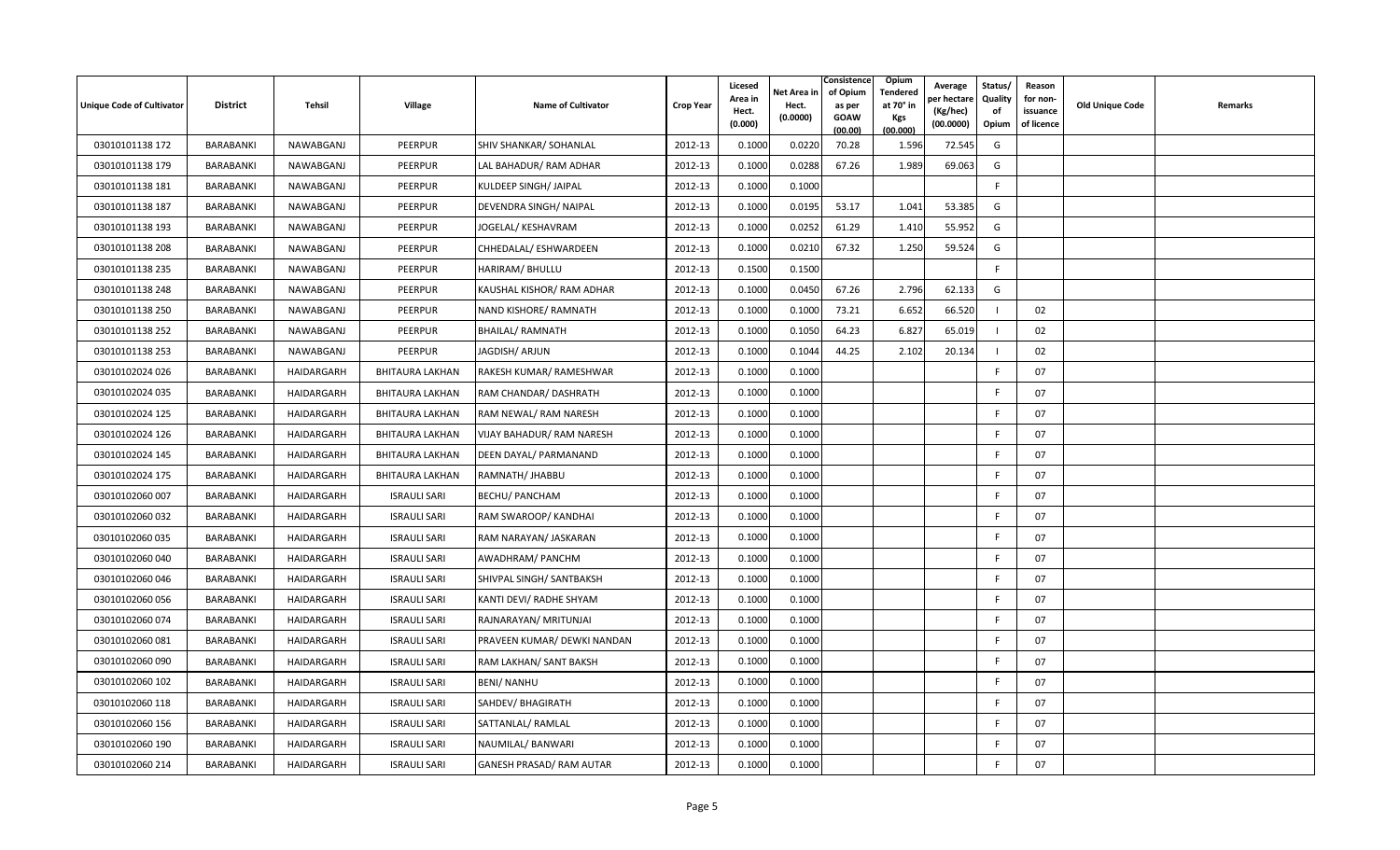| Unique Code of Cultivator | <b>District</b> | Tehsil     | Village                | <b>Name of Cultivator</b>   | <b>Crop Year</b> | Licesed<br>Area in<br>Hect.<br>(0.000) | Net Area in<br>Hect.<br>(0.0000) | Consistence<br>of Opium<br>as per<br>GOAW<br>(00.00) | Opium<br>Tendered<br>at 70° in<br>Kgs<br>(00.000) | Average<br>per hectare<br>(Kg/hec)<br>(00.0000) | Status/<br>Quality<br>of<br>Opium | Reason<br>for non-<br>issuance<br>of licence | Old Unique Code | Remarks |
|---------------------------|-----------------|------------|------------------------|-----------------------------|------------------|----------------------------------------|----------------------------------|------------------------------------------------------|---------------------------------------------------|-------------------------------------------------|-----------------------------------|----------------------------------------------|-----------------|---------|
| 03010101138 172           | BARABANKI       | NAWABGANJ  | PEERPUR                | SHIV SHANKAR/ SOHANLAL      | 2012-13          | 0.1000                                 | 0.0220                           | 70.28                                                | 1.596                                             | 72.545                                          | G                                 |                                              |                 |         |
| 03010101138 179           | BARABANKI       | NAWABGANJ  | PEERPUR                | LAL BAHADUR/ RAM ADHAR      | 2012-13          | 0.1000                                 | 0.0288                           | 67.26                                                | 1.989                                             | 69.063                                          | G                                 |                                              |                 |         |
| 03010101138 181           | BARABANKI       | NAWABGANJ  | PEERPUR                | KULDEEP SINGH/ JAIPAL       | 2012-13          | 0.1000                                 | 0.1000                           |                                                      |                                                   |                                                 | F.                                |                                              |                 |         |
| 03010101138 187           | BARABANKI       | NAWABGANJ  | PEERPUR                | DEVENDRA SINGH/ NAIPAL      | 2012-13          | 0.1000                                 | 0.0195                           | 53.17                                                | 1.041                                             | 53.385                                          | G                                 |                                              |                 |         |
| 03010101138 193           | BARABANKI       | NAWABGANJ  | PEERPUR                | JOGELAL/ KESHAVRAM          | 2012-13          | 0.1000                                 | 0.0252                           | 61.29                                                | 1.410                                             | 55.952                                          | G                                 |                                              |                 |         |
| 03010101138 208           | BARABANKI       | NAWABGANJ  | PEERPUR                | CHHEDALAL/ ESHWARDEEN       | 2012-13          | 0.1000                                 | 0.0210                           | 67.32                                                | 1.250                                             | 59.524                                          | G                                 |                                              |                 |         |
| 03010101138 235           | BARABANKI       | NAWABGANJ  | <b>PEERPUR</b>         | HARIRAM/ BHULLU             | 2012-13          | 0.1500                                 | 0.1500                           |                                                      |                                                   |                                                 | F                                 |                                              |                 |         |
| 03010101138 248           | BARABANKI       | NAWABGANJ  | PEERPUR                | KAUSHAL KISHOR/RAM ADHAR    | 2012-13          | 0.1000                                 | 0.0450                           | 67.26                                                | 2.796                                             | 62.133                                          | G                                 |                                              |                 |         |
| 03010101138 250           | BARABANKI       | NAWABGANJ  | PEERPUR                | NAND KISHORE/ RAMNATH       | 2012-13          | 0.1000                                 | 0.1000                           | 73.21                                                | 6.652                                             | 66.520                                          | $\mathbf{I}$                      | 02                                           |                 |         |
| 03010101138 252           | BARABANKI       | NAWABGANJ  | PEERPUR                | <b>BHAILAL/ RAMNATH</b>     | 2012-13          | 0.1000                                 | 0.1050                           | 64.23                                                | 6.827                                             | 65.019                                          |                                   | 02                                           |                 |         |
| 03010101138 253           | BARABANKI       | NAWABGANJ  | PEERPUR                | JAGDISH/ ARJUN              | 2012-13          | 0.1000                                 | 0.1044                           | 44.25                                                | 2.102                                             | 20.134                                          |                                   | 02                                           |                 |         |
| 03010102024 026           | BARABANKI       | HAIDARGARH | <b>BHITAURA LAKHAN</b> | RAKESH KUMAR/ RAMESHWAR     | 2012-13          | 0.1000                                 | 0.1000                           |                                                      |                                                   |                                                 | $\mathsf{F}$                      | 07                                           |                 |         |
| 03010102024 035           | BARABANKI       | HAIDARGARH | BHITAURA LAKHAN        | RAM CHANDAR/ DASHRATH       | 2012-13          | 0.1000                                 | 0.1000                           |                                                      |                                                   |                                                 | F                                 | 07                                           |                 |         |
| 03010102024 125           | BARABANKI       | HAIDARGARH | BHITAURA LAKHAN        | RAM NEWAL/ RAM NARESH       | 2012-13          | 0.1000                                 | 0.1000                           |                                                      |                                                   |                                                 | F                                 | 07                                           |                 |         |
| 03010102024 126           | BARABANKI       | HAIDARGARH | BHITAURA LAKHAN        | VIJAY BAHADUR/ RAM NARESH   | 2012-13          | 0.1000                                 | 0.1000                           |                                                      |                                                   |                                                 | F.                                | 07                                           |                 |         |
| 03010102024 145           | BARABANKI       | HAIDARGARH | BHITAURA LAKHAN        | DEEN DAYAL/ PARMANAND       | 2012-13          | 0.1000                                 | 0.1000                           |                                                      |                                                   |                                                 | F                                 | 07                                           |                 |         |
| 03010102024 175           | BARABANKI       | HAIDARGARH | BHITAURA LAKHAN        | RAMNATH/ JHABBU             | 2012-13          | 0.1000                                 | 0.1000                           |                                                      |                                                   |                                                 | F.                                | 07                                           |                 |         |
| 03010102060 007           | BARABANKI       | HAIDARGARH | <b>ISRAULI SARI</b>    | <b>BECHU/ PANCHAM</b>       | 2012-13          | 0.1000                                 | 0.1000                           |                                                      |                                                   |                                                 | F.                                | 07                                           |                 |         |
| 03010102060 032           | BARABANKI       | HAIDARGARH | <b>ISRAULI SARI</b>    | RAM SWAROOP/ KANDHAI        | 2012-13          | 0.1000                                 | 0.1000                           |                                                      |                                                   |                                                 | F                                 | 07                                           |                 |         |
| 03010102060 035           | BARABANKI       | HAIDARGARH | <b>ISRAULI SARI</b>    | RAM NARAYAN/ JASKARAN       | 2012-13          | 0.1000                                 | 0.1000                           |                                                      |                                                   |                                                 | F.                                | 07                                           |                 |         |
| 03010102060 040           | BARABANKI       | HAIDARGARH | <b>ISRAULI SARI</b>    | AWADHRAM/ PANCHM            | 2012-13          | 0.1000                                 | 0.1000                           |                                                      |                                                   |                                                 | F                                 | 07                                           |                 |         |
| 03010102060 046           | BARABANKI       | HAIDARGARH | <b>ISRAULI SARI</b>    | SHIVPAL SINGH/ SANTBAKSH    | 2012-13          | 0.1000                                 | 0.1000                           |                                                      |                                                   |                                                 | F.                                | 07                                           |                 |         |
| 03010102060 056           | BARABANKI       | HAIDARGARH | <b>ISRAULI SARI</b>    | KANTI DEVI/ RADHE SHYAM     | 2012-13          | 0.1000                                 | 0.1000                           |                                                      |                                                   |                                                 | F.                                | 07                                           |                 |         |
| 03010102060 074           | BARABANKI       | HAIDARGARH | <b>ISRAULI SARI</b>    | RAJNARAYAN/ MRITUNJAI       | 2012-13          | 0.1000                                 | 0.1000                           |                                                      |                                                   |                                                 | F                                 | 07                                           |                 |         |
| 03010102060081            | BARABANKI       | HAIDARGARH | <b>ISRAULI SARI</b>    | PRAVEEN KUMAR/ DEWKI NANDAN | 2012-13          | 0.1000                                 | 0.1000                           |                                                      |                                                   |                                                 | F                                 | 07                                           |                 |         |
| 03010102060 090           | BARABANKI       | HAIDARGARH | <b>ISRAULI SARI</b>    | RAM LAKHAN/ SANT BAKSH      | 2012-13          | 0.1000                                 | 0.1000                           |                                                      |                                                   |                                                 | F                                 | 07                                           |                 |         |
| 03010102060 102           | BARABANKI       | HAIDARGARH | <b>ISRAULI SARI</b>    | <b>BENI/ NANHU</b>          | 2012-13          | 0.1000                                 | 0.1000                           |                                                      |                                                   |                                                 | F                                 | 07                                           |                 |         |
| 03010102060 118           | BARABANKI       | HAIDARGARH | <b>ISRAULI SARI</b>    | SAHDEV/ BHAGIRATH           | 2012-13          | 0.1000                                 | 0.1000                           |                                                      |                                                   |                                                 | F.                                | 07                                           |                 |         |
| 03010102060 156           | BARABANKI       | HAIDARGARH | <b>ISRAULI SARI</b>    | SATTANLAL/RAMLAL            | 2012-13          | 0.1000                                 | 0.1000                           |                                                      |                                                   |                                                 | F                                 | 07                                           |                 |         |
| 03010102060 190           | BARABANKI       | HAIDARGARH | <b>ISRAULI SARI</b>    | NAUMILAL/ BANWARI           | 2012-13          | 0.1000                                 | 0.1000                           |                                                      |                                                   |                                                 | F                                 | 07                                           |                 |         |
| 03010102060 214           | BARABANKI       | HAIDARGARH | <b>ISRAULI SARI</b>    | GANESH PRASAD/ RAM AUTAR    | 2012-13          | 0.1000                                 | 0.1000                           |                                                      |                                                   |                                                 | F                                 | 07                                           |                 |         |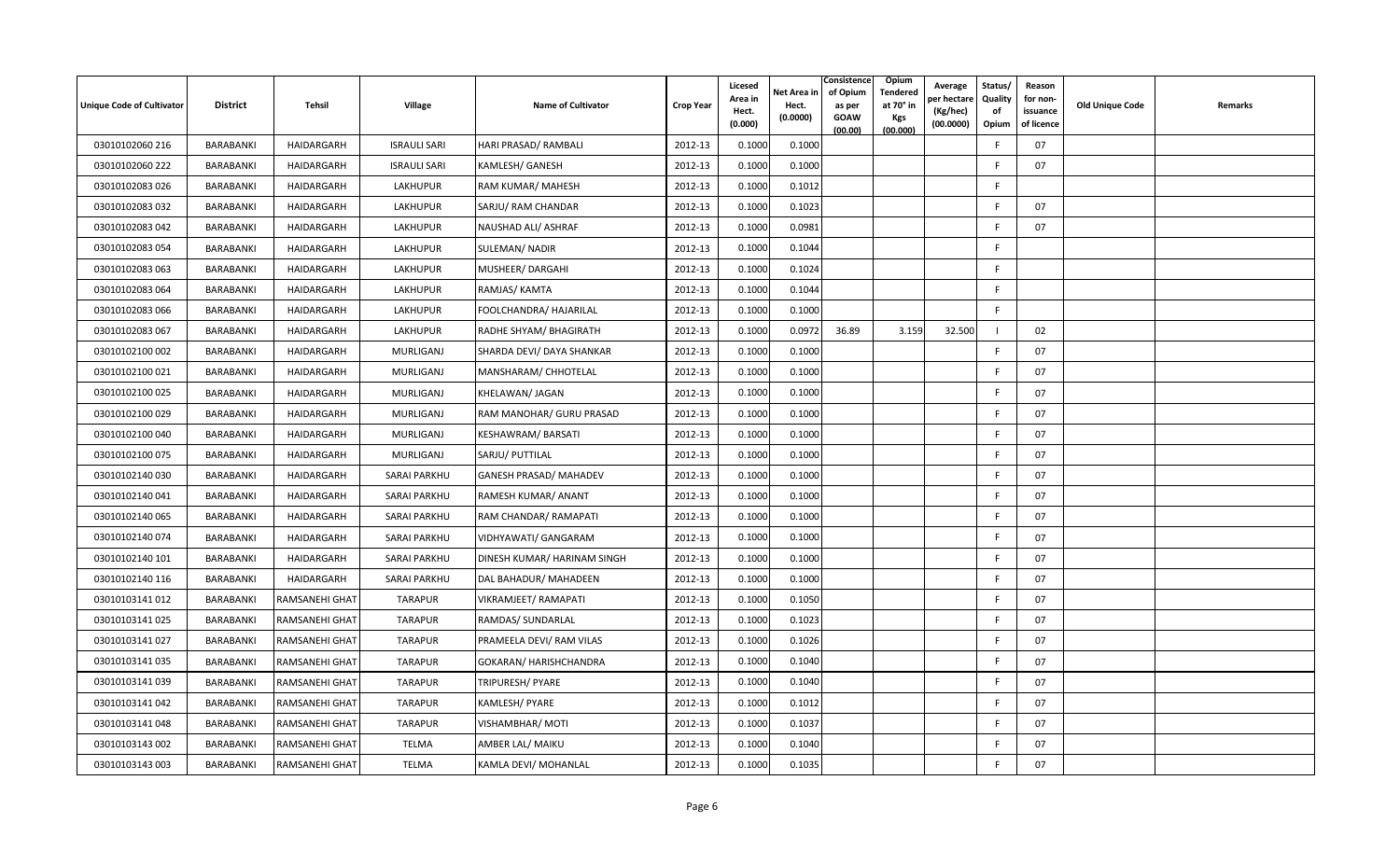| <b>Unique Code of Cultivator</b> | <b>District</b>  | Tehsil                | <b>Village</b>      | <b>Name of Cultivator</b>     | <b>Crop Year</b> | Licesed<br>Area in<br>Hect.<br>(0.000) | Net Area in<br>Hect.<br>(0.0000) | Consistence<br>of Opium<br>as per<br><b>GOAW</b><br>(00.00) | Opium<br>Tendered<br>at 70° in<br><b>Kgs</b><br>(00.000) | Average<br>er hectare)<br>(Kg/hec)<br>(00.0000) | Status/<br>Quality<br>of<br>Opium | Reason<br>for non-<br>issuance<br>of licence | <b>Old Unique Code</b> | Remarks |
|----------------------------------|------------------|-----------------------|---------------------|-------------------------------|------------------|----------------------------------------|----------------------------------|-------------------------------------------------------------|----------------------------------------------------------|-------------------------------------------------|-----------------------------------|----------------------------------------------|------------------------|---------|
| 03010102060 216                  | <b>BARABANKI</b> | HAIDARGARH            | <b>ISRAULI SARI</b> | HARI PRASAD/ RAMBALI          | 2012-13          | 0.1000                                 | 0.1000                           |                                                             |                                                          |                                                 | E                                 | 07                                           |                        |         |
| 03010102060 222                  | BARABANKI        | HAIDARGARH            | <b>ISRAULI SARI</b> | <b>KAMLESH/ GANESH</b>        | 2012-13          | 0.1000                                 | 0.1000                           |                                                             |                                                          |                                                 | -F                                | 07                                           |                        |         |
| 03010102083 026                  | BARABANKI        | HAIDARGARH            | LAKHUPUR            | RAM KUMAR/ MAHESH             | 2012-13          | 0.1000                                 | 0.1012                           |                                                             |                                                          |                                                 | F.                                |                                              |                        |         |
| 03010102083 032                  | BARABANKI        | HAIDARGARH            | <b>LAKHUPUR</b>     | SARJU/ RAM CHANDAR            | 2012-13          | 0.1000                                 | 0.1023                           |                                                             |                                                          |                                                 | -F                                | 07                                           |                        |         |
| 03010102083 042                  | BARABANKI        | HAIDARGARH            | LAKHUPUR            | NAUSHAD ALI/ ASHRAF           | 2012-13          | 0.1000                                 | 0.0981                           |                                                             |                                                          |                                                 | F                                 | 07                                           |                        |         |
| 03010102083 054                  | <b>BARABANKI</b> | HAIDARGARH            | LAKHUPUR            | <b>SULEMAN/ NADIR</b>         | 2012-13          | 0.1000                                 | 0.1044                           |                                                             |                                                          |                                                 | F.                                |                                              |                        |         |
| 03010102083 063                  | <b>BARABANKI</b> | HAIDARGARH            | LAKHUPUR            | MUSHEER/DARGAHI               | 2012-13          | 0.1000                                 | 0.1024                           |                                                             |                                                          |                                                 | F.                                |                                              |                        |         |
| 03010102083 064                  | BARABANKI        | HAIDARGARH            | LAKHUPUR            | RAMJAS/ KAMTA                 | 2012-13          | 0.1000                                 | 0.1044                           |                                                             |                                                          |                                                 | F.                                |                                              |                        |         |
| 03010102083 066                  | BARABANKI        | HAIDARGARH            | LAKHUPUR            | FOOLCHANDRA/ HAJARILAL        | 2012-13          | 0.1000                                 | 0.1000                           |                                                             |                                                          |                                                 | F.                                |                                              |                        |         |
| 03010102083 067                  | <b>BARABANKI</b> | HAIDARGARH            | LAKHUPUR            | RADHE SHYAM/ BHAGIRATH        | 2012-13          | 0.1000                                 | 0.0972                           | 36.89                                                       | 3.159                                                    | 32.500                                          |                                   | 02                                           |                        |         |
| 03010102100 002                  | BARABANKI        | HAIDARGARH            | MURLIGANJ           | SHARDA DEVI/ DAYA SHANKAR     | 2012-13          | 0.1000                                 | 0.1000                           |                                                             |                                                          |                                                 | F.                                | 07                                           |                        |         |
| 03010102100 021                  | BARABANKI        | HAIDARGARH            | MURLIGANJ           | MANSHARAM/ CHHOTELAL          | 2012-13          | 0.1000                                 | 0.1000                           |                                                             |                                                          |                                                 | F.                                | 07                                           |                        |         |
| 03010102100 025                  | BARABANKI        | HAIDARGARH            | MURLIGANJ           | KHELAWAN/ JAGAN               | 2012-13          | 0.1000                                 | 0.1000                           |                                                             |                                                          |                                                 | F.                                | 07                                           |                        |         |
| 03010102100 029                  | BARABANKI        | HAIDARGARH            | MURLIGANJ           | RAM MANOHAR/ GURU PRASAD      | 2012-13          | 0.1000                                 | 0.1000                           |                                                             |                                                          |                                                 | F.                                | 07                                           |                        |         |
| 03010102100040                   | <b>BARABANKI</b> | HAIDARGARH            | <b>MURLIGANJ</b>    | <b>KESHAWRAM/ BARSATI</b>     | 2012-13          | 0.1000                                 | 0.1000                           |                                                             |                                                          |                                                 | E                                 | 07                                           |                        |         |
| 03010102100 075                  | BARABANKI        | HAIDARGARH            | MURLIGANJ           | SARJU/ PUTTILAL               | 2012-13          | 0.1000                                 | 0.1000                           |                                                             |                                                          |                                                 | -F                                | 07                                           |                        |         |
| 03010102140 030                  | BARABANKI        | HAIDARGARH            | <b>SARAI PARKHU</b> | <b>GANESH PRASAD/ MAHADEV</b> | 2012-13          | 0.1000                                 | 0.1000                           |                                                             |                                                          |                                                 | F.                                | 07                                           |                        |         |
| 03010102140041                   | BARABANKI        | HAIDARGARH            | SARAI PARKHU        | RAMESH KUMAR/ ANANT           | 2012-13          | 0.1000                                 | 0.1000                           |                                                             |                                                          |                                                 | -F                                | 07                                           |                        |         |
| 03010102140 065                  | <b>BARABANKI</b> | HAIDARGARH            | <b>SARAI PARKHU</b> | RAM CHANDAR/ RAMAPATI         | 2012-13          | 0.1000                                 | 0.1000                           |                                                             |                                                          |                                                 | F.                                | 07                                           |                        |         |
| 03010102140074                   | BARABANKI        | HAIDARGARH            | <b>SARAI PARKHU</b> | VIDHYAWATI/ GANGARAM          | 2012-13          | 0.1000                                 | 0.1000                           |                                                             |                                                          |                                                 | F                                 | 07                                           |                        |         |
| 03010102140 101                  | BARABANKI        | HAIDARGARH            | <b>SARAI PARKHU</b> | DINESH KUMAR/ HARINAM SINGH   | 2012-13          | 0.1000                                 | 0.1000                           |                                                             |                                                          |                                                 | E                                 | 07                                           |                        |         |
| 03010102140 116                  | <b>BARABANKI</b> | HAIDARGARH            | <b>SARAI PARKHU</b> | DAL BAHADUR/ MAHADEEN         | 2012-13          | 0.1000                                 | 0.1000                           |                                                             |                                                          |                                                 | F                                 | 07                                           |                        |         |
| 03010103141 012                  | BARABANKI        | RAMSANEHI GHAT        | <b>TARAPUR</b>      | VIKRAMJEET/RAMAPATI           | 2012-13          | 0.1000                                 | 0.1050                           |                                                             |                                                          |                                                 | E                                 | 07                                           |                        |         |
| 03010103141 025                  | <b>BARABANKI</b> | RAMSANEHI GHAT        | <b>TARAPUR</b>      | RAMDAS/ SUNDARLAL             | 2012-13          | 0.1000                                 | 0.1023                           |                                                             |                                                          |                                                 | -F                                | 07                                           |                        |         |
| 03010103141 027                  | BARABANKI        | RAMSANEHI GHAT        | <b>TARAPUR</b>      | PRAMEELA DEVI/ RAM VILAS      | 2012-13          | 0.1000                                 | 0.1026                           |                                                             |                                                          |                                                 | F.                                | 07                                           |                        |         |
| 03010103141 035                  | BARABANKI        | RAMSANEHI GHAT        | <b>TARAPUR</b>      | GOKARAN/ HARISHCHANDRA        | 2012-13          | 0.1000                                 | 0.1040                           |                                                             |                                                          |                                                 | F.                                | 07                                           |                        |         |
| 03010103141 039                  | BARABANKI        | RAMSANEHI GHAT        | <b>TARAPUR</b>      | TRIPURESH/ PYARE              | 2012-13          | 0.1000                                 | 0.1040                           |                                                             |                                                          |                                                 | F                                 | 07                                           |                        |         |
| 03010103141 042                  | BARABANKI        | RAMSANEHI GHAT        | <b>TARAPUR</b>      | KAMLESH/ PYARE                | 2012-13          | 0.1000                                 | 0.1012                           |                                                             |                                                          |                                                 | -F                                | 07                                           |                        |         |
| 03010103141048                   | BARABANKI        | RAMSANEHI GHAT        | <b>TARAPUR</b>      | VISHAMBHAR/ MOTI              | 2012-13          | 0.1000                                 | 0.1037                           |                                                             |                                                          |                                                 | F.                                | 07                                           |                        |         |
| 03010103143 002                  | <b>BARABANKI</b> | RAMSANEHI GHAT        | TELMA               | AMBER LAL/ MAIKU              | 2012-13          | 0.1000                                 | 0.1040                           |                                                             |                                                          |                                                 | F                                 | 07                                           |                        |         |
| 03010103143 003                  | BARABANKI        | <b>RAMSANEHI GHAT</b> | <b>TELMA</b>        | KAMLA DEVI/ MOHANLAL          | 2012-13          | 0.1000                                 | 0.1035                           |                                                             |                                                          |                                                 | F                                 | 07                                           |                        |         |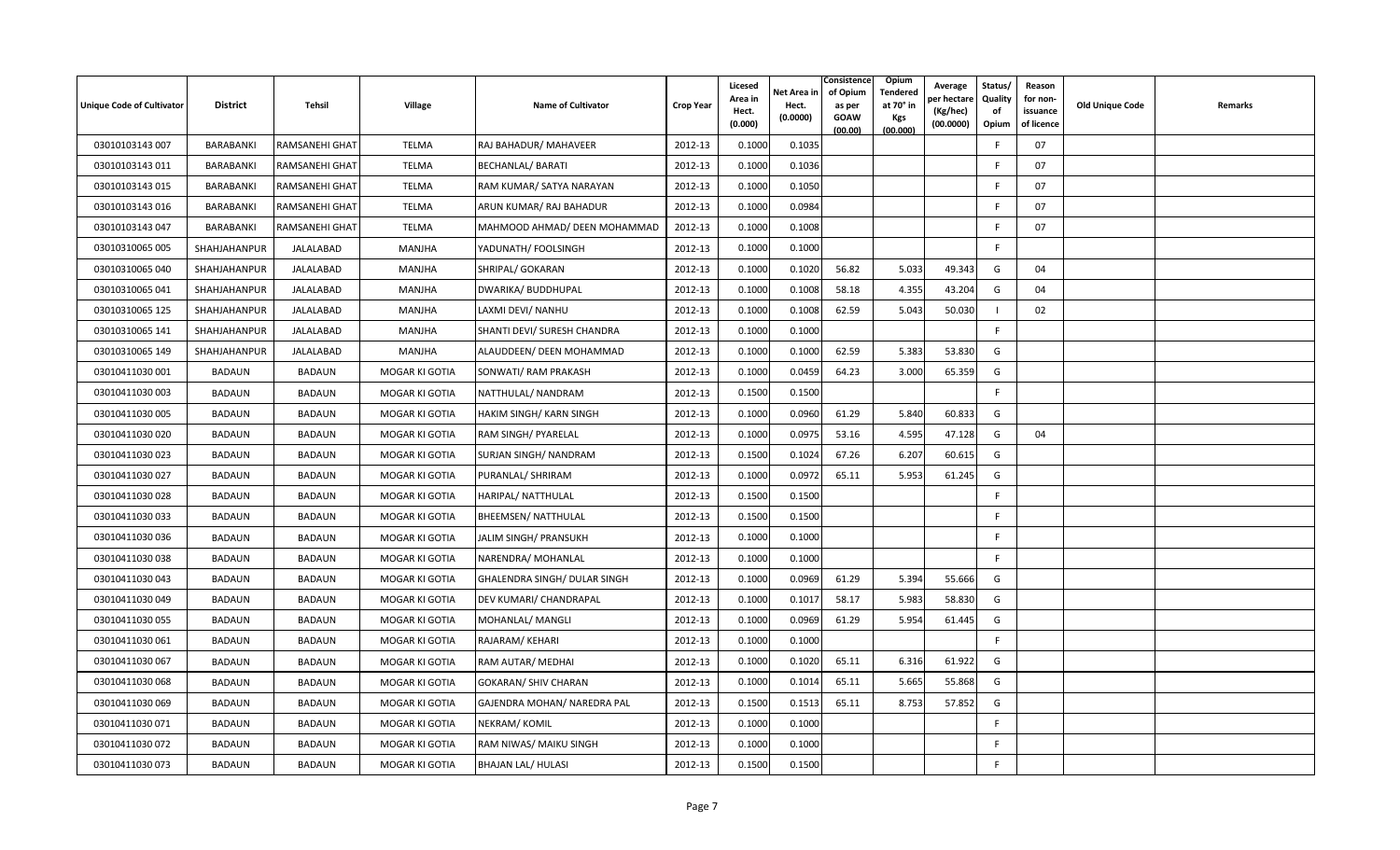| <b>Unique Code of Cultivator</b> | <b>District</b>  | Tehsil         | <b>Village</b>        | <b>Name of Cultivator</b>    | <b>Crop Year</b> | Licesed<br>Area in<br>Hect.<br>(0.000) | Net Area in<br>Hect.<br>(0.0000) | Consistence<br>of Opium<br>as per<br><b>GOAW</b><br>(00.00) | Opium<br>Tendered<br>at 70° in<br><b>Kgs</b><br>(00.000) | Average<br>er hectar<br>(Kg/hec)<br>(00.0000) | Status/<br>Quality<br>of<br>Opium | Reason<br>for non-<br>issuance<br>of licence | <b>Old Unique Code</b> | Remarks |
|----------------------------------|------------------|----------------|-----------------------|------------------------------|------------------|----------------------------------------|----------------------------------|-------------------------------------------------------------|----------------------------------------------------------|-----------------------------------------------|-----------------------------------|----------------------------------------------|------------------------|---------|
| 03010103143 007                  | BARABANKI        | RAMSANEHI GHAT | <b>TELMA</b>          | RAJ BAHADUR/ MAHAVEER        | 2012-13          | 0.1000                                 | 0.1035                           |                                                             |                                                          |                                               | -F                                | 07                                           |                        |         |
| 03010103143 011                  | BARABANKI        | RAMSANEHI GHAT | <b>TELMA</b>          | <b>BECHANLAL/ BARATI</b>     | 2012-13          | 0.1000                                 | 0.1036                           |                                                             |                                                          |                                               | E                                 | 07                                           |                        |         |
| 03010103143 015                  | BARABANKI        | RAMSANEHI GHAT | <b>TELMA</b>          | RAM KUMAR/ SATYA NARAYAN     | 2012-13          | 0.1000                                 | 0.1050                           |                                                             |                                                          |                                               | E                                 | 07                                           |                        |         |
| 03010103143 016                  | BARABANKI        | RAMSANEHI GHAT | <b>TELMA</b>          | ARUN KUMAR/RAJ BAHADUR       | 2012-13          | 0.1000                                 | 0.0984                           |                                                             |                                                          |                                               | F.                                | 07                                           |                        |         |
| 03010103143 047                  | <b>BARABANKI</b> | RAMSANEHI GHAT | <b>TELMA</b>          | MAHMOOD AHMAD/ DEEN MOHAMMAD | 2012-13          | 0.1000                                 | 0.1008                           |                                                             |                                                          |                                               | -F                                | 07                                           |                        |         |
| 03010310065 005                  | SHAHJAHANPUR     | JALALABAD      | MANJHA                | YADUNATH/ FOOLSINGH          | 2012-13          | 0.1000                                 | 0.1000                           |                                                             |                                                          |                                               | F.                                |                                              |                        |         |
| 03010310065 040                  | SHAHJAHANPUR     | JALALABAD      | MANJHA                | SHRIPAL/ GOKARAN             | 2012-13          | 0.1000                                 | 0.1020                           | 56.82                                                       | 5.033                                                    | 49.343                                        | G                                 | 04                                           |                        |         |
| 03010310065 041                  | SHAHJAHANPUR     | JALALABAD      | MANJHA                | DWARIKA/ BUDDHUPAL           | 2012-13          | 0.1000                                 | 0.1008                           | 58.18                                                       | 4.355                                                    | 43.204                                        | G                                 | 04                                           |                        |         |
| 03010310065 125                  | SHAHJAHANPUR     | JALALABAD      | MANJHA                | LAXMI DEVI/ NANHU            | 2012-13          | 0.1000                                 | 0.1008                           | 62.59                                                       | 5.043                                                    | 50.030                                        |                                   | 02                                           |                        |         |
| 03010310065 141                  | SHAHJAHANPUR     | JALALABAD      | MANJHA                | SHANTI DEVI/ SURESH CHANDRA  | 2012-13          | 0.1000                                 | 0.1000                           |                                                             |                                                          |                                               | F.                                |                                              |                        |         |
| 03010310065 149                  | SHAHJAHANPUR     | JALALABAD      | MANJHA                | ALAUDDEEN/ DEEN MOHAMMAD     | 2012-13          | 0.1000                                 | 0.1000                           | 62.59                                                       | 5.383                                                    | 53.830                                        | G                                 |                                              |                        |         |
| 03010411030 001                  | BADAUN           | <b>BADAUN</b>  | MOGAR KI GOTIA        | SONWATI/ RAM PRAKASH         | 2012-13          | 0.1000                                 | 0.0459                           | 64.23                                                       | 3.000                                                    | 65.359                                        | G                                 |                                              |                        |         |
| 03010411030 003                  | <b>BADAUN</b>    | <b>BADAUN</b>  | MOGAR KI GOTIA        | NATTHULAL/NANDRAM            | 2012-13          | 0.1500                                 | 0.1500                           |                                                             |                                                          |                                               | F.                                |                                              |                        |         |
| 03010411030 005                  | BADAUN           | <b>BADAUN</b>  | MOGAR KI GOTIA        | HAKIM SINGH/KARN SINGH       | 2012-13          | 0.1000                                 | 0.0960                           | 61.29                                                       | 5.840                                                    | 60.833                                        | G                                 |                                              |                        |         |
| 03010411030 020                  | BADAUN           | <b>BADAUN</b>  | MOGAR KI GOTIA        | RAM SINGH/ PYARELAL          | 2012-13          | 0.1000                                 | 0.0975                           | 53.16                                                       | 4.595                                                    | 47.128                                        | G                                 | 04                                           |                        |         |
| 03010411030 023                  | BADAUN           | <b>BADAUN</b>  | MOGAR KI GOTIA        | SURJAN SINGH/NANDRAM         | 2012-13          | 0.1500                                 | 0.1024                           | 67.26                                                       | 6.207                                                    | 60.615                                        | G                                 |                                              |                        |         |
| 03010411030 027                  | <b>BADAUN</b>    | <b>BADAUN</b>  | MOGAR KI GOTIA        | PURANLAL/ SHRIRAM            | 2012-13          | 0.1000                                 | 0.0972                           | 65.11                                                       | 5.953                                                    | 61.245                                        | G                                 |                                              |                        |         |
| 03010411030 028                  | BADAUN           | <b>BADAUN</b>  | MOGAR KI GOTIA        | HARIPAL/ NATTHULAL           | 2012-13          | 0.1500                                 | 0.1500                           |                                                             |                                                          |                                               | F.                                |                                              |                        |         |
| 03010411030 033                  | BADAUN           | <b>BADAUN</b>  | MOGAR KI GOTIA        | <b>BHEEMSEN/ NATTHULAL</b>   | 2012-13          | 0.1500                                 | 0.1500                           |                                                             |                                                          |                                               | F.                                |                                              |                        |         |
| 03010411030 036                  | <b>BADAUN</b>    | <b>BADAUN</b>  | MOGAR KI GOTIA        | JALIM SINGH/ PRANSUKH        | 2012-13          | 0.1000                                 | 0.1000                           |                                                             |                                                          |                                               | F.                                |                                              |                        |         |
| 03010411030038                   | BADAUN           | <b>BADAUN</b>  | MOGAR KI GOTIA        | NARENDRA/ MOHANLAL           | 2012-13          | 0.1000                                 | 0.1000                           |                                                             |                                                          |                                               | F                                 |                                              |                        |         |
| 03010411030043                   | <b>BADAUN</b>    | <b>BADAUN</b>  | MOGAR KI GOTIA        | GHALENDRA SINGH/ DULAR SINGH | 2012-13          | 0.1000                                 | 0.0969                           | 61.29                                                       | 5.394                                                    | 55.666                                        | G                                 |                                              |                        |         |
| 03010411030049                   | BADAUN           | <b>BADAUN</b>  | MOGAR KI GOTIA        | DEV KUMARI/ CHANDRAPAL       | 2012-13          | 0.1000                                 | 0.1017                           | 58.17                                                       | 5.983                                                    | 58.830                                        | G                                 |                                              |                        |         |
| 03010411030 055                  | BADAUN           | <b>BADAUN</b>  | MOGAR KI GOTIA        | MOHANLAL/ MANGLI             | 2012-13          | 0.1000                                 | 0.0969                           | 61.29                                                       | 5.954                                                    | 61.445                                        | G                                 |                                              |                        |         |
| 03010411030 061                  | <b>BADAUN</b>    | <b>BADAUN</b>  | MOGAR KI GOTIA        | RAJARAM/KEHARI               | 2012-13          | 0.1000                                 | 0.1000                           |                                                             |                                                          |                                               | F.                                |                                              |                        |         |
| 03010411030 067                  | BADAUN           | <b>BADAUN</b>  | MOGAR KI GOTIA        | RAM AUTAR/ MEDHAI            | 2012-13          | 0.1000                                 | 0.1020                           | 65.11                                                       | 6.316                                                    | 61.922                                        | G                                 |                                              |                        |         |
| 03010411030 068                  | <b>BADAUN</b>    | <b>BADAUN</b>  | MOGAR KI GOTIA        | <b>GOKARAN/ SHIV CHARAN</b>  | 2012-13          | 0.1000                                 | 0.1014                           | 65.11                                                       | 5.665                                                    | 55.868                                        | G                                 |                                              |                        |         |
| 03010411030 069                  | <b>BADAUN</b>    | <b>BADAUN</b>  | MOGAR KI GOTIA        | GAJENDRA MOHAN/ NAREDRA PAL  | 2012-13          | 0.1500                                 | 0.1513                           | 65.11                                                       | 8.753                                                    | 57.852                                        | G                                 |                                              |                        |         |
| 03010411030 071                  | BADAUN           | <b>BADAUN</b>  | <b>MOGAR KI GOTIA</b> | NEKRAM/KOMIL                 | 2012-13          | 0.1000                                 | 0.1000                           |                                                             |                                                          |                                               | -F                                |                                              |                        |         |
| 03010411030 072                  | <b>BADAUN</b>    | <b>BADAUN</b>  | MOGAR KI GOTIA        | RAM NIWAS/ MAIKU SINGH       | 2012-13          | 0.1000                                 | 0.1000                           |                                                             |                                                          |                                               | F.                                |                                              |                        |         |
| 03010411030 073                  | BADAUN           | <b>BADAUN</b>  | MOGAR KI GOTIA        | <b>BHAJAN LAL/ HULASI</b>    | 2012-13          | 0.1500                                 | 0.1500                           |                                                             |                                                          |                                               | -F                                |                                              |                        |         |